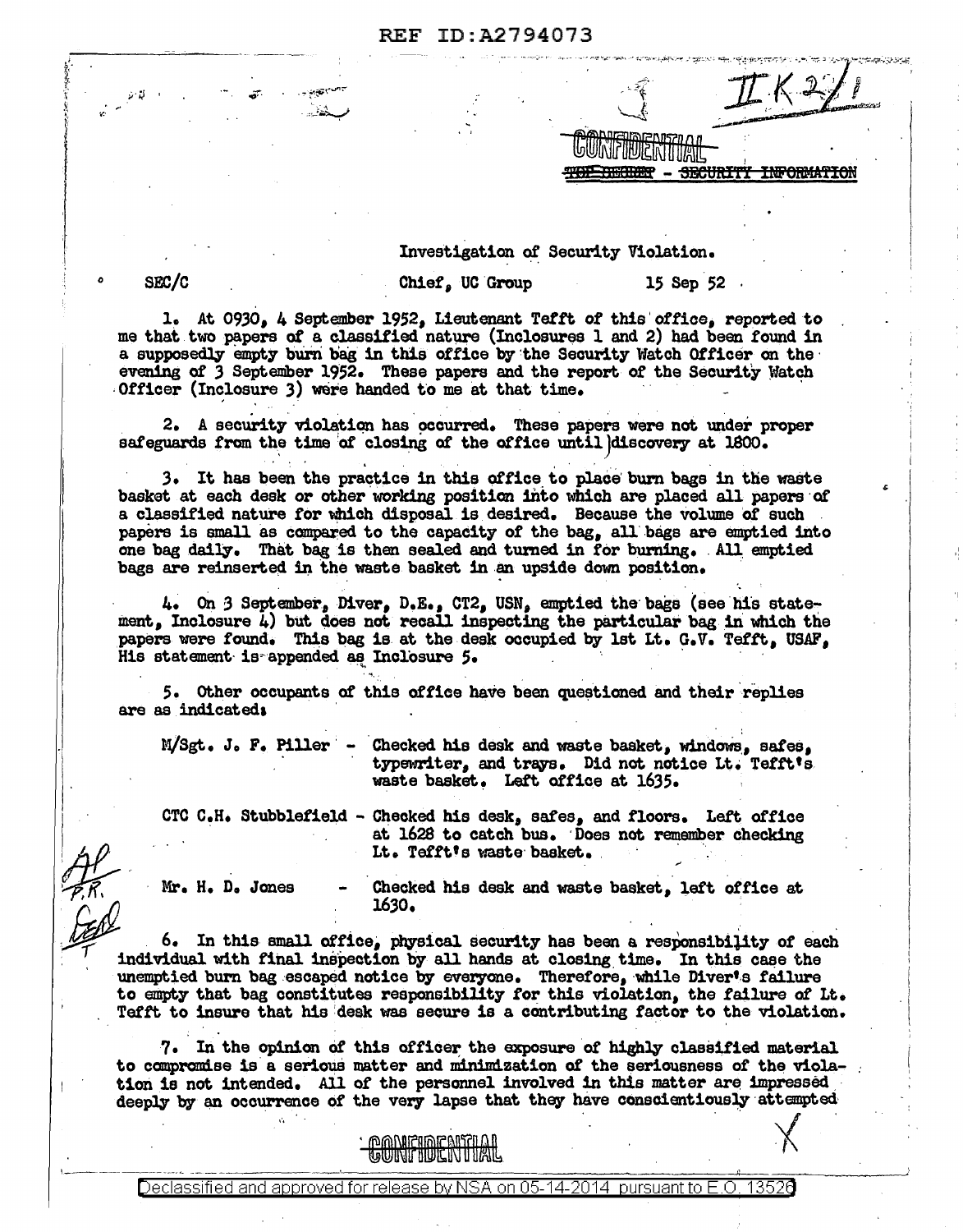| <b>REF ID:A2794073</b> |  |
|------------------------|--|
|------------------------|--|

Investigation of Security Violation.

.,,. .. , .......... ..., ..... ·--~· ...... - •• 111••••..r\i

0 SF£/C

 $\frac{1}{2}$ 

' ,. . v.·

Chief, UC Group 15 Sep 52

<del>INFORMATION</del>

1. At 0930, 4 September 1952, Lieutenant Tefft of this office, reported to me that two papers of a classified nature (Inclosures 1 and 2) had been found in a supposedly empty burn bag in this office by the Security Watch Officer on the evening of 3 September 1952. These papers and the report of the Security Watch Officer (Inclosure 3) were handed to me at that time.

2. A security violation has occurred. These papers were not under proper safeguards from the time of closing of the office until discovery at 1800.

3. It has been the practice in this office to place burn bags in the waste basket at each desk or other working position into which are placed all papers of a classified nature for \\lhich disposal is desired. Because the volume *ot* such papers is small as compared to the capacity of the bag, all bags are emptied into one bag daily. That bag is then sealed and turned in for burning. All emptied bags are reinserted in the waste basket in an upside down position.

 $\mu$ . On 3 September, Diver, D.E., CT2, USN, emptied the bags (see his statement, Inclosure  $\mu$ ) but does not recall inspecting the particular bag in which the papers were found. This bag is at the desk occupied by 1st Lt. G.V. Tefft, USAF, His statement is appended as Inclosure 5.

5. Other occupants of this office have been questioned and their replies are as indicateda ·

·,

 $\parallel$ 

 $M/ Sgt. J. F. \nPlller - Checked his desk and waste basket, windows, sales, typewriter, and trays. \nDid not notice It. Teffts.$ waste basket. Left office at 1635.

· CTC C.H. Stubblefield - Checked bis desk, safes, and floors. Lett office at 1628 to catch bus. Does not remember checking It. Tefft's waste basket.

 $Mr. H. D. Jones - Chacked his desk and waste basket, left office at.$  $\sim$  1630.  $\sim$  1630.

 $\chi$ 

~ 6, In this small om.ca; 14'eiaal Becur1t7 has bean a ~•Pcmsibi}it7 *ot* Bach unemptied burn bag escaped notice by everyone. Therefore, while Diver's failure to empty that bag constitutes responsibility for this violation, the failure of Lt. Tefft to insure that his desk was secure is a contributing factor to the violation.

7. In the opinion of this officer the exposure of highly classified material to compromise is a serious matter and minimization of the seriousness of the violation is not intended. All of the personnel involved in this matter are impressed deeply by an occurrence of the very lapse that they have conscientiously attempted

<u>MANIEINE AISTILI</u> **GUNTHUENTIAL**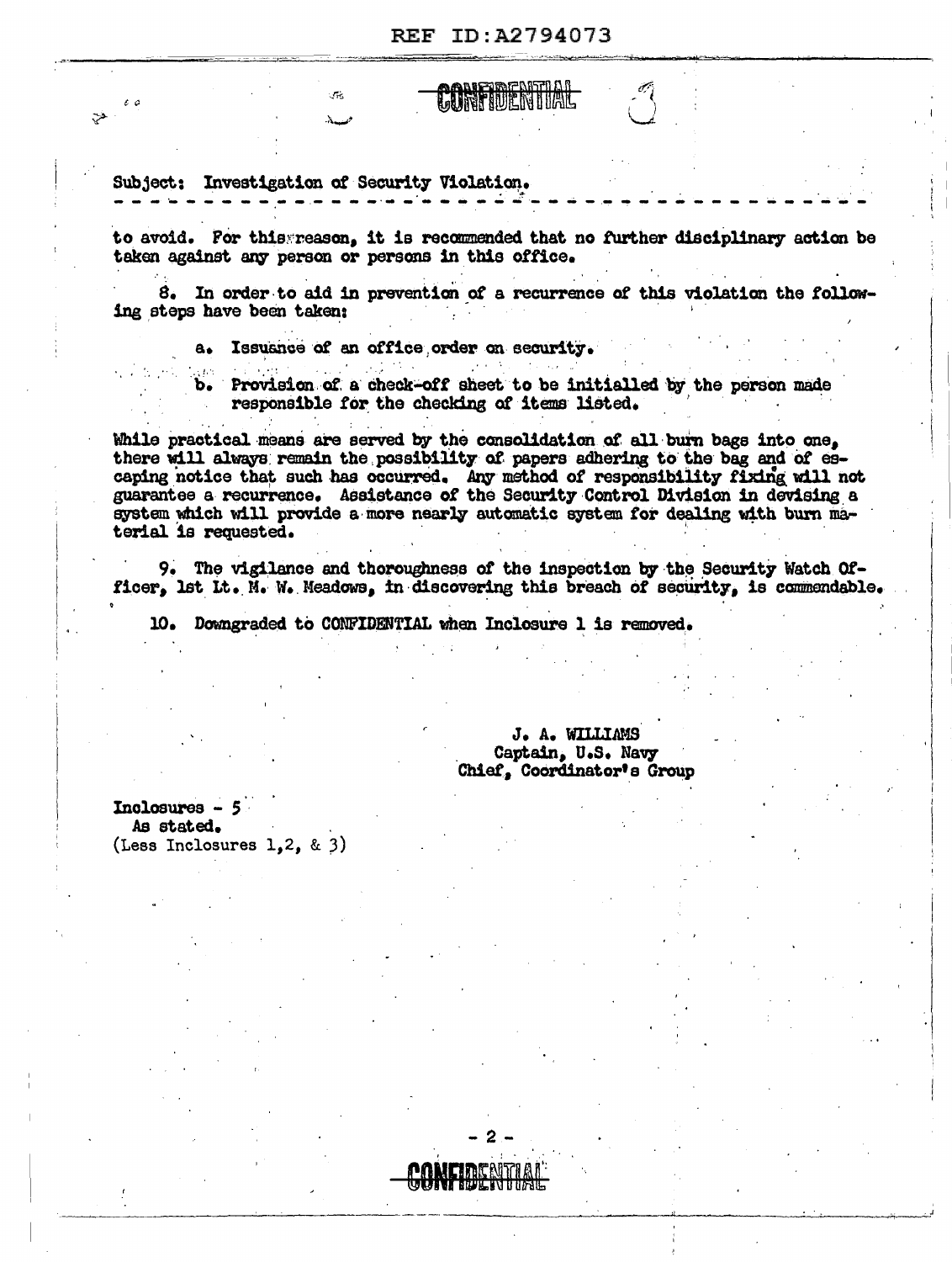**LURITIDENI DAL** 

Subject: Investigation of Security Violation.

en.<br>Ster

 $\mathbf{x}$ 

e o ا فق

> to avoid. For this reason, it is recommended that no further disciplinary action be taken against any person or persons in this office.

> 8. In order to aid in prevention of a recurrence of this violation the following steps have been taken:

> > a. Issuance of an office order on security.

3250 Provision of a check-off sheet to be initialled by the person made  $\mathbf{b}$ . responsible for the checking of items listed.

While practical means are served by the consolidation of all burn bags into one. there will always remain the possibility of papers adhering to the bag and of escaping notice that such has occurred. Any method of responsibility fixing will not guarantee a recurrence. Assistance of the Security Control Division in devising a system which will provide a more nearly automatic system for dealing with burn material is requested.

9. The vigilance and thoroughness of the inspection by the Security Watch Officer, lst Lt. N. W. Meadows, in discovering this breach of security, is commendable.

10. Downgraded to CONFIDENTIAL when Inclosure 1 is removed.

J. A. WILLIAMS Captain, U.S. Navy Chief, Coordinator's Group

 $In**closures** - 5$ As stated. (Less Inclosures 1.2. & 3)

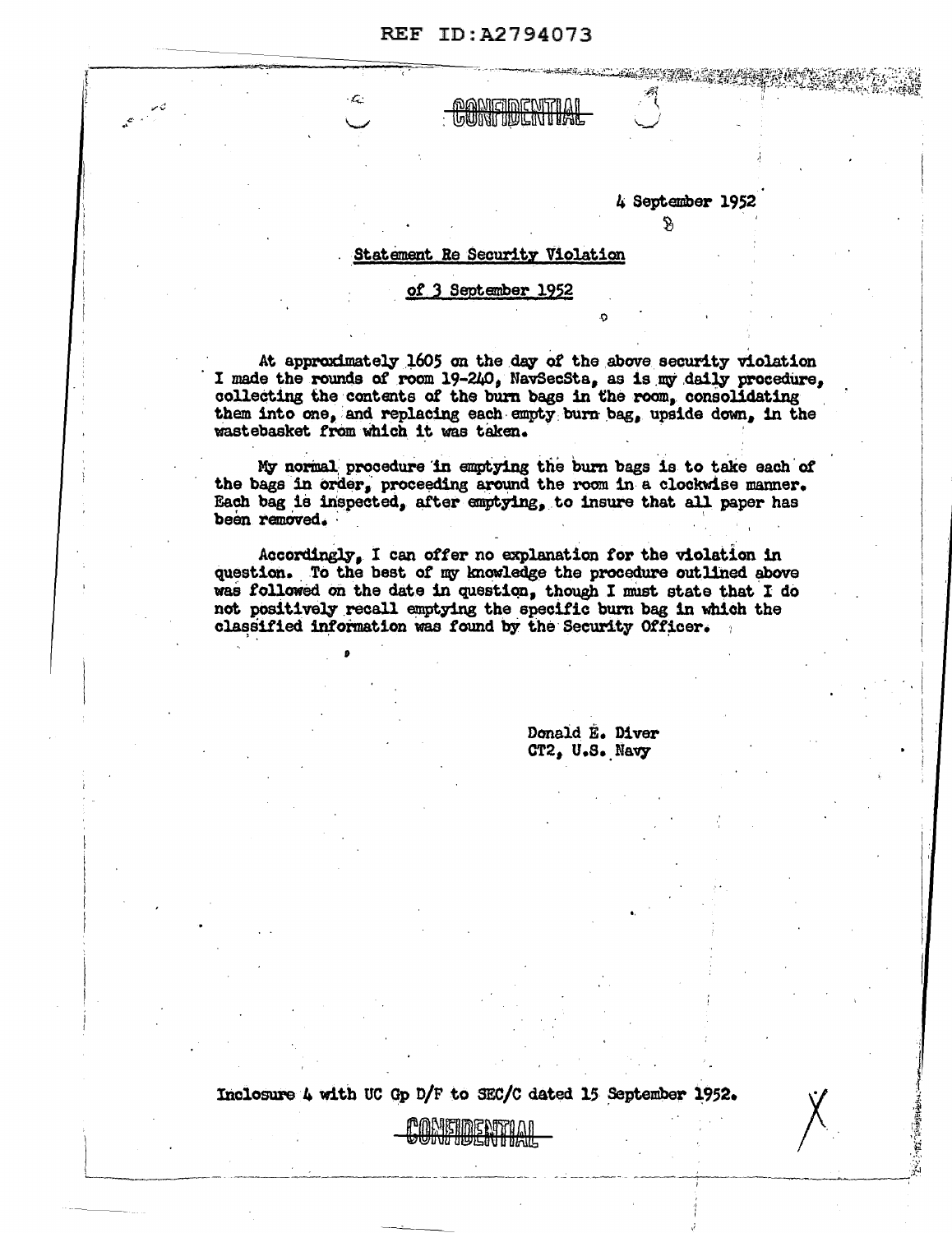**DANIEINENTIAL** 

4 September 1952

 $\mathfrak{R}$ 

**PART 1998** 

## Statement Re Security Violation

## of 3 September 1952

At approximately 1605 on the day of the above security violation I made the rounds of room 19-240, NavSecSta, as is my daily procedure, collecting the contents of the burn bags in the room, consolidating them into one, and replacing each empty burn bag, upside down, in the wastebasket from which it was taken.

My normal procedure in emptying the burn bags is to take each of the bags in order, proceeding around the room in a clockwise manner. Each bag is inspected, after emptying, to insure that all paper has been removed.

Accordingly, I can offer no explanation for the violation in question. To the best of my knowledge the procedure outlined above was followed on the date in question, though I must state that I do not positively recall emptying the specific burn bag in which the classified information was found by the Security Officer.

> Donald E. Diver CT2, U.S. Navy

Inclosure 4 with UC Gp D/F to SEC/C dated 15 September 1952.

DNETIDENTILUI